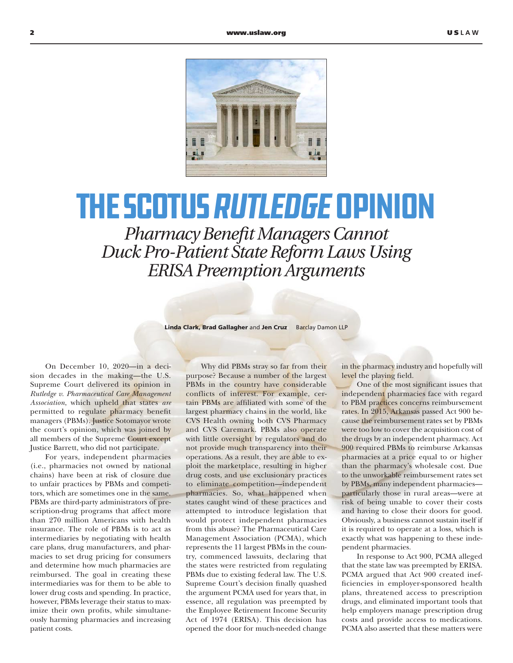

## the SCOTUS Rutledge Opinion

*Pharmacy Benefit Managers Cannot Duck Pro-Patient State Reform Laws Using ERISA Preemption Arguments*

Linda Clark, Brad Gallagher and Jen Cruz Barclay Damon LLP

On December 10, 2020—in a decision decades in the making—the U.S. Supreme Court delivered its opinion in *Rutledge v. Pharmaceutical Care Management Association*, which upheld that states *are* permitted to regulate pharmacy benefit managers (PBMs). Justice Sotomayor wrote the court's opinion, which was joined by all members of the Supreme Court except Justice Barrett, who did not participate.

For years, independent pharmacies (i.e., pharmacies not owned by national chains) have been at risk of closure due to unfair practices by PBMs and competitors, which are sometimes one in the same. PBMs are third-party administrators of prescription-drug programs that affect more than 270 million Americans with health insurance. The role of PBMs is to act as intermediaries by negotiating with health care plans, drug manufacturers, and pharmacies to set drug pricing for consumers and determine how much pharmacies are reimbursed. The goal in creating these intermediaries was for them to be able to lower drug costs and spending. In practice, however, PBMs leverage their status to maximize their own profits, while simultaneously harming pharmacies and increasing patient costs.

Why did PBMs stray so far from their purpose? Because a number of the largest PBMs in the country have considerable conflicts of interest. For example, certain PBMs are affiliated with some of the largest pharmacy chains in the world, like CVS Health owning both CVS Pharmacy and CVS Caremark. PBMs also operate with little oversight by regulators and do not provide much transparency into their operations. As a result, they are able to exploit the marketplace, resulting in higher drug costs, and use exclusionary practices to eliminate competition—independent pharmacies. So, what happened when states caught wind of these practices and attempted to introduce legislation that would protect independent pharmacies from this abuse? The Pharmaceutical Care Management Association (PCMA), which represents the 11 largest PBMs in the country, commenced lawsuits, declaring that the states were restricted from regulating PBMs due to existing federal law. The U.S. Supreme Court's decision finally quashed the argument PCMA used for years that, in essence, all regulation was preempted by the Employee Retirement Income Security Act of 1974 (ERISA). This decision has opened the door for much-needed change

in the pharmacy industry and hopefully will level the playing field.

One of the most significant issues that independent pharmacies face with regard to PBM practices concerns reimbursement rates. In 2015, Arkansas passed Act 900 because the reimbursement rates set by PBMs were too low to cover the acquisition cost of the drugs by an independent pharmacy. Act 900 required PBMs to reimburse Arkansas pharmacies at a price equal to or higher than the pharmacy's wholesale cost. Due to the unworkable reimbursement rates set by PBMs, many independent pharmacies particularly those in rural areas—were at risk of being unable to cover their costs and having to close their doors for good. Obviously, a business cannot sustain itself if it is required to operate at a loss, which is exactly what was happening to these independent pharmacies.

In response to Act 900, PCMA alleged that the state law was preempted by ERISA. PCMA argued that Act 900 created inefficiencies in employer-sponsored health plans, threatened access to prescription drugs, and eliminated important tools that help employers manage prescription drug costs and provide access to medications. PCMA also asserted that these matters were